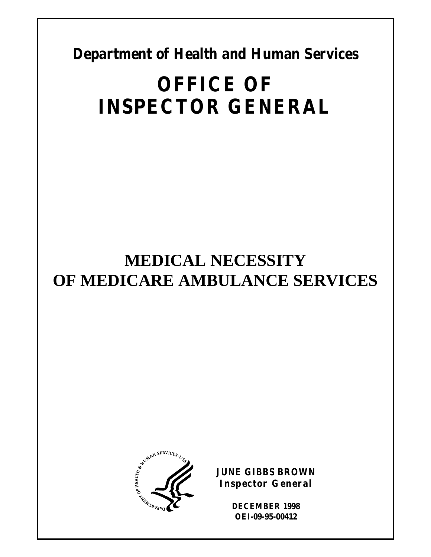**Department of Health and Human Services** 

# **OFFICE OF INSPECTOR GENERAL**

# **MEDICAL NECESSITY OF MEDICARE AMBULANCE SERVICES**



**JUNE GIBBS BROWN Inspector General** 

> **DECEMBER 1998 OEI-09-95-00412**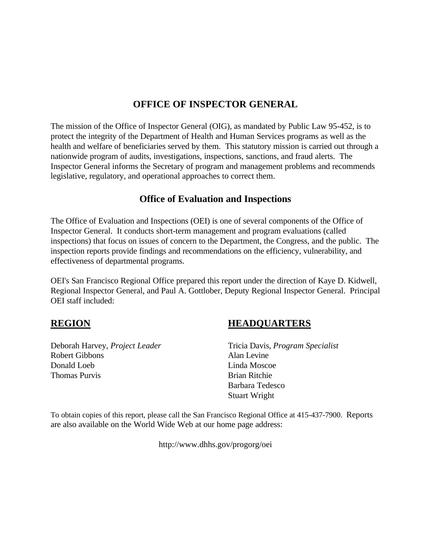## **OFFICE OF INSPECTOR GENERAL**

The mission of the Office of Inspector General (OIG), as mandated by Public Law 95-452, is to protect the integrity of the Department of Health and Human Services programs as well as the health and welfare of beneficiaries served by them. This statutory mission is carried out through a nationwide program of audits, investigations, inspections, sanctions, and fraud alerts. The Inspector General informs the Secretary of program and management problems and recommends legislative, regulatory, and operational approaches to correct them.

## **Office of Evaluation and Inspections**

The Office of Evaluation and Inspections (OEI) is one of several components of the Office of Inspector General. It conducts short-term management and program evaluations (called inspections) that focus on issues of concern to the Department, the Congress, and the public. The inspection reports provide findings and recommendations on the efficiency, vulnerability, and effectiveness of departmental programs.

OEI's San Francisco Regional Office prepared this report under the direction of Kaye D. Kidwell, Regional Inspector General, and Paul A. Gottlober, Deputy Regional Inspector General. Principal OEI staff included:

## **REGION**

Deborah Harvey, *Project Leader* Robert Gibbons Donald Loeb Thomas Purvis

## **HEADQUARTERS**

Tricia Davis, *Program Specialist* Alan Levine Linda Moscoe Brian Ritchie Barbara Tedesco Stuart Wright

To obtain copies of this report, please call the San Francisco Regional Office at 415-437-7900. Reports are also available on the World Wide Web at our home page address:

http://www.dhhs.gov/progorg/oei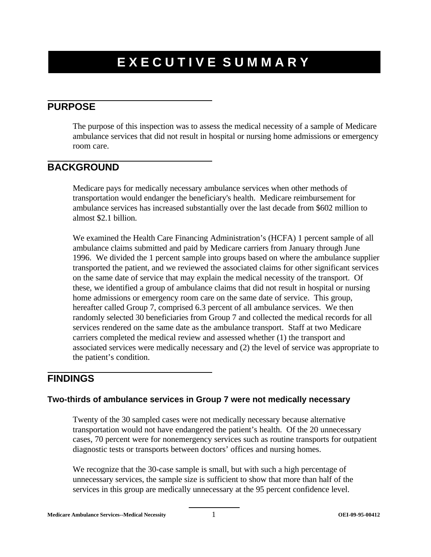## **EXECUTIVE SUMMARY**

## **PURPOSE**

The purpose of this inspection was to assess the medical necessity of a sample of Medicare ambulance services that did not result in hospital or nursing home admissions or emergency room care.

## **BACKGROUND**

Medicare pays for medically necessary ambulance services when other methods of transportation would endanger the beneficiary's health. Medicare reimbursement for ambulance services has increased substantially over the last decade from \$602 million to almost \$2.1 billion.

We examined the Health Care Financing Administration's (HCFA) 1 percent sample of all ambulance claims submitted and paid by Medicare carriers from January through June 1996. We divided the 1 percent sample into groups based on where the ambulance supplier transported the patient, and we reviewed the associated claims for other significant services on the same date of service that may explain the medical necessity of the transport. Of these, we identified a group of ambulance claims that did not result in hospital or nursing home admissions or emergency room care on the same date of service. This group, hereafter called Group 7, comprised 6.3 percent of all ambulance services. We then randomly selected 30 beneficiaries from Group 7 and collected the medical records for all services rendered on the same date as the ambulance transport. Staff at two Medicare carriers completed the medical review and assessed whether (1) the transport and associated services were medically necessary and (2) the level of service was appropriate to the patient's condition.

## **FINDINGS**

### **Two-thirds of ambulance services in Group 7 were not medically necessary**

Twenty of the 30 sampled cases were not medically necessary because alternative transportation would not have endangered the patient's health. Of the 20 unnecessary cases, 70 percent were for nonemergency services such as routine transports for outpatient diagnostic tests or transports between doctors' offices and nursing homes.

We recognize that the 30-case sample is small, but with such a high percentage of unnecessary services, the sample size is sufficient to show that more than half of the services in this group are medically unnecessary at the 95 percent confidence level.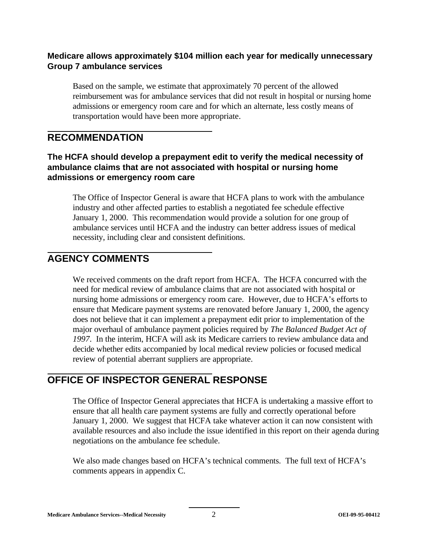### **Medicare allows approximately \$104 million each year for medically unnecessary Group 7 ambulance services**

Based on the sample, we estimate that approximately 70 percent of the allowed reimbursement was for ambulance services that did not result in hospital or nursing home admissions or emergency room care and for which an alternate, less costly means of transportation would have been more appropriate.

## **RECOMMENDATION**

## **The HCFA should develop a prepayment edit to verify the medical necessity of ambulance claims that are not associated with hospital or nursing home admissions or emergency room care**

The Office of Inspector General is aware that HCFA plans to work with the ambulance industry and other affected parties to establish a negotiated fee schedule effective January 1, 2000. This recommendation would provide a solution for one group of ambulance services until HCFA and the industry can better address issues of medical necessity, including clear and consistent definitions.

## **AGENCY COMMENTS**

We received comments on the draft report from HCFA. The HCFA concurred with the need for medical review of ambulance claims that are not associated with hospital or nursing home admissions or emergency room care. However, due to HCFA's efforts to ensure that Medicare payment systems are renovated before January 1, 2000, the agency does not believe that it can implement a prepayment edit prior to implementation of the major overhaul of ambulance payment policies required by *The Balanced Budget Act of 1997*. In the interim, HCFA will ask its Medicare carriers to review ambulance data and decide whether edits accompanied by local medical review policies or focused medical review of potential aberrant suppliers are appropriate.

## **OFFICE OF INSPECTOR GENERAL RESPONSE**

The Office of Inspector General appreciates that HCFA is undertaking a massive effort to ensure that all health care payment systems are fully and correctly operational before January 1, 2000. We suggest that HCFA take whatever action it can now consistent with available resources and also include the issue identified in this report on their agenda during negotiations on the ambulance fee schedule.

We also made changes based on HCFA's technical comments. The full text of HCFA's comments appears in appendix C.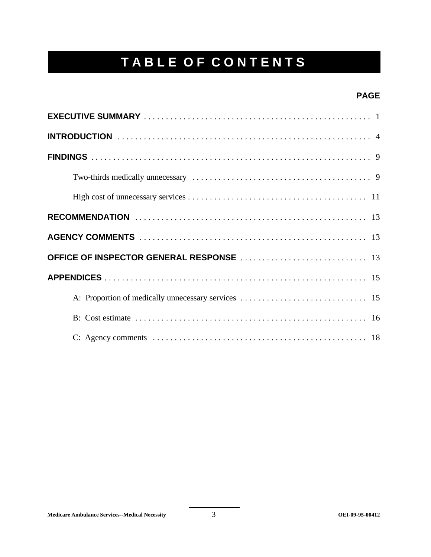## **TABLE OF CONTENTS**

## **PAGE**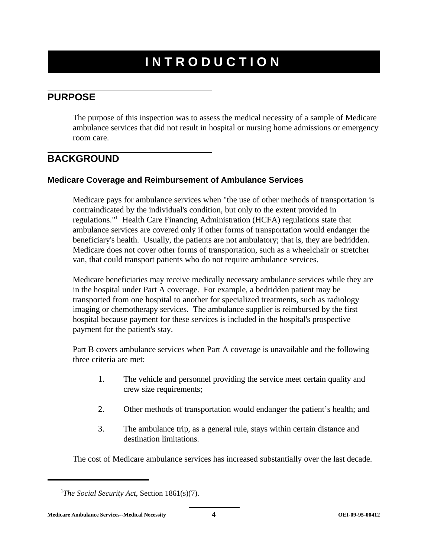## **INTRODUCTION**

## **PURPOSE**

The purpose of this inspection was to assess the medical necessity of a sample of Medicare ambulance services that did not result in hospital or nursing home admissions or emergency room care.

## **BACKGROUND**

### **Medicare Coverage and Reimbursement of Ambulance Services**

Medicare pays for ambulance services when "the use of other methods of transportation is contraindicated by the individual's condition, but only to the extent provided in regulations."1 Health Care Financing Administration (HCFA) regulations state that ambulance services are covered only if other forms of transportation would endanger the beneficiary's health. Usually, the patients are not ambulatory; that is, they are bedridden. Medicare does not cover other forms of transportation, such as a wheelchair or stretcher van, that could transport patients who do not require ambulance services.

Medicare beneficiaries may receive medically necessary ambulance services while they are in the hospital under Part A coverage. For example, a bedridden patient may be transported from one hospital to another for specialized treatments, such as radiology imaging or chemotherapy services. The ambulance supplier is reimbursed by the first hospital because payment for these services is included in the hospital's prospective payment for the patient's stay.

Part B covers ambulance services when Part A coverage is unavailable and the following three criteria are met:

- 1. The vehicle and personnel providing the service meet certain quality and crew size requirements;
- 2. Other methods of transportation would endanger the patient's health; and
- 3. The ambulance trip, as a general rule, stays within certain distance and destination limitations.

The cost of Medicare ambulance services has increased substantially over the last decade.

<sup>&</sup>lt;sup>1</sup>The Social Security Act, Section 1861(s)(7).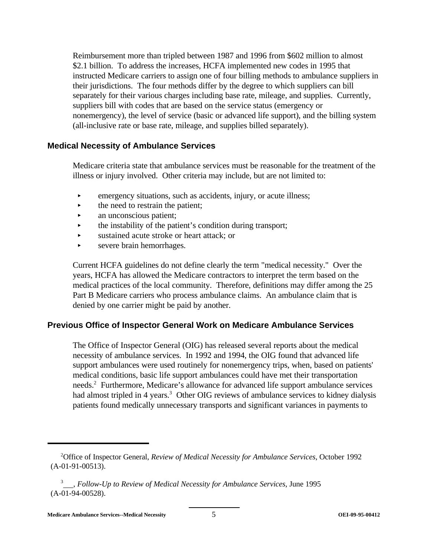Reimbursement more than tripled between 1987 and 1996 from \$602 million to almost \$2.1 billion. To address the increases, HCFA implemented new codes in 1995 that instructed Medicare carriers to assign one of four billing methods to ambulance suppliers in their jurisdictions. The four methods differ by the degree to which suppliers can bill separately for their various charges including base rate, mileage, and supplies. Currently, suppliers bill with codes that are based on the service status (emergency or nonemergency), the level of service (basic or advanced life support), and the billing system (all-inclusive rate or base rate, mileage, and supplies billed separately).

#### **Medical Necessity of Ambulance Services**

Medicare criteria state that ambulance services must be reasonable for the treatment of the illness or injury involved. Other criteria may include, but are not limited to:

- $\triangleright$  emergency situations, such as accidents, injury, or acute illness;
- $\blacktriangleright$  the need to restrain the patient;
- $\blacktriangleright$  an unconscious patient;
- $\rightarrow$  the instability of the patient's condition during transport;
- < sustained acute stroke or heart attack; or
- severe brain hemorrhages.

Current HCFA guidelines do not define clearly the term "medical necessity." Over the years, HCFA has allowed the Medicare contractors to interpret the term based on the medical practices of the local community. Therefore, definitions may differ among the 25 Part B Medicare carriers who process ambulance claims. An ambulance claim that is denied by one carrier might be paid by another.

### **Previous Office of Inspector General Work on Medicare Ambulance Services**

The Office of Inspector General (OIG) has released several reports about the medical necessity of ambulance services. In 1992 and 1994, the OIG found that advanced life support ambulances were used routinely for nonemergency trips, when, based on patients' medical conditions, basic life support ambulances could have met their transportation needs.2 Furthermore, Medicare's allowance for advanced life support ambulance services had almost tripled in 4 years.<sup>3</sup> Other OIG reviews of ambulance services to kidney dialysis patients found medically unnecessary transports and significant variances in payments to

<sup>2</sup> Office of Inspector General, *Review of Medical Necessity for Ambulance Services*, October 1992 (A-01-91-00513).

<sup>3</sup> , *Follow-Up to Review of Medical Necessity for Ambulance Services*, June 1995 (A-01-94-00528).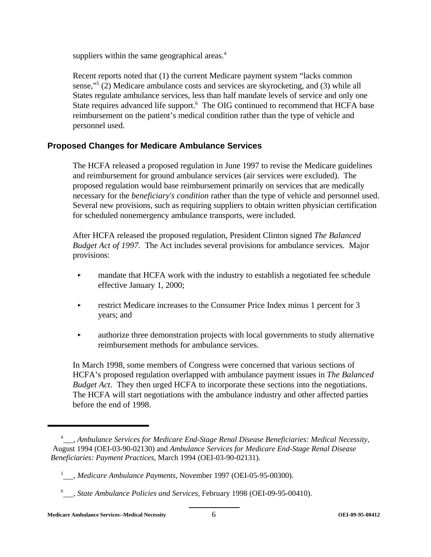suppliers within the same geographical areas.<sup>4</sup>

Recent reports noted that (1) the current Medicare payment system "lacks common sense,"5 (2) Medicare ambulance costs and services are skyrocketing, and (3) while all States regulate ambulance services, less than half mandate levels of service and only one State requires advanced life support.<sup>6</sup> The OIG continued to recommend that HCFA base reimbursement on the patient's medical condition rather than the type of vehicle and personnel used.

## **Proposed Changes for Medicare Ambulance Services**

The HCFA released a proposed regulation in June 1997 to revise the Medicare guidelines and reimbursement for ground ambulance services (air services were excluded). The proposed regulation would base reimbursement primarily on services that are medically necessary for the *beneficiary's condition* rather than the type of vehicle and personnel used. Several new provisions, such as requiring suppliers to obtain written physician certification for scheduled nonemergency ambulance transports, were included.

After HCFA released the proposed regulation, President Clinton signed *The Balanced Budget Act of 1997.* The Act includes several provisions for ambulance services. Major provisions:

- **Example 1** mandate that HCFA work with the industry to establish a negotiated fee schedule effective January 1, 2000;
- $\triangleright$  restrict Medicare increases to the Consumer Price Index minus 1 percent for 3 years; and
- authorize three demonstration projects with local governments to study alternative reimbursement methods for ambulance services.

In March 1998, some members of Congress were concerned that various sections of HCFA's proposed regulation overlapped with ambulance payment issues in *The Balanced Budget Act*. They then urged HCFA to incorporate these sections into the negotiations. The HCFA will start negotiations with the ambulance industry and other affected parties before the end of 1998.

<sup>4</sup> , *Ambulance Services for Medicare End-Stage Renal Disease Beneficiaries: Medical Necessity*, August 1994 (OEI-03-90-02130) and *Ambulance Services for Medicare End-Stage Renal Disease Beneficiaries: Payment Practices*, March 1994 (OEI-03-90-02131).

<sup>&</sup>lt;sup>5</sup> , *Medicare Ambulance Payments*, November 1997 (OEI-05-95-00300).

<sup>6</sup> , *State Ambulance Policies and Services*, February 1998 (OEI-09-95-00410).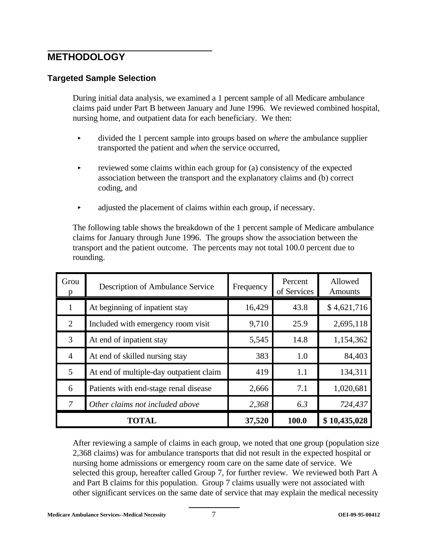## **METHODOLOGY**

## **Targeted Sample Selection**

During initial data analysis, we examined a 1 percent sample of all Medicare ambulance claims paid under Part B between January and June 1996. We reviewed combined hospital, nursing home, and outpatient data for each beneficiary. We then:

- < divided the 1 percent sample into groups based on *where* the ambulance supplier transported the patient and *when* the service occurred,
- $\triangleright$  reviewed some claims within each group for (a) consistency of the expected association between the transport and the explanatory claims and (b) correct coding, and
- $\blacktriangleright$  adjusted the placement of claims within each group, if necessary.

The following table shows the breakdown of the 1 percent sample of Medicare ambulance claims for January through June 1996. The groups show the association between the transport and the patient outcome. The percents may not total 100.0 percent due to rounding.

| Grou           | Description of Ambulance Service        | Frequency | Percent<br>of Services | Allowed<br><b>Amounts</b> |
|----------------|-----------------------------------------|-----------|------------------------|---------------------------|
|                | At beginning of inpatient stay          | 16,429    | 43.8                   | \$4,621,716               |
| 2              | Included with emergency room visit      | 9,710     | 25.9                   | 2,695,118                 |
| 3              | At end of inpatient stay                | 5,545     | 14.8                   | 1,154,362                 |
| $\overline{4}$ | At end of skilled nursing stay          | 383       | 1.0                    | 84,403                    |
| 5              | At end of multiple-day outpatient claim | 419       | 1.1                    | 134,311                   |
| 6              | Patients with end-stage renal disease   | 2,666     | 7.1                    | 1,020,681                 |
| 7              | Other claims not included above         | 2,368     | 6.3                    | 724,437                   |
|                | <b>TOTAL</b>                            | 37,520    | 100.0                  | \$10,435,028              |

After reviewing a sample of claims in each group, we noted that one group (population size 2,368 claims) was for ambulance transports that did not result in the expected hospital or nursing home admissions or emergency room care on the same date of service. We selected this group, hereafter called Group 7, for further review. We reviewed both Part A and Part B claims for this population. Group 7 claims usually were not associated with other significant services on the same date of service that may explain the medical necessity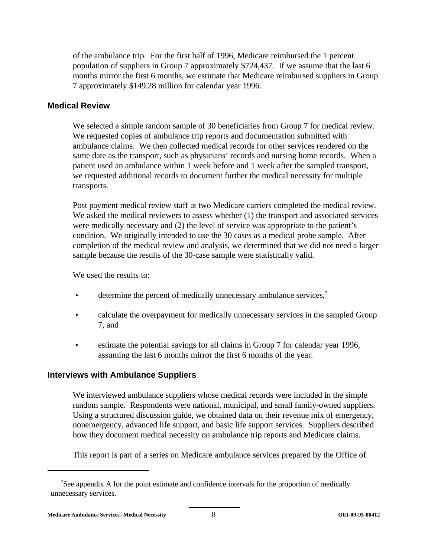of the ambulance trip. For the first half of 1996, Medicare reimbursed the 1 percent population of suppliers in Group 7 approximately \$724,437. If we assume that the last 6 months mirror the first 6 months, we estimate that Medicare reimbursed suppliers in Group 7 approximately \$149.28 million for calendar year 1996.

#### **Medical Review**

We selected a simple random sample of 30 beneficiaries from Group 7 for medical review. We requested copies of ambulance trip reports and documentation submitted with ambulance claims. We then collected medical records for other services rendered on the same date as the transport, such as physicians' records and nursing home records. When a patient used an ambulance within 1 week before and 1 week after the sampled transport, we requested additional records to document further the medical necessity for multiple transports.

Post payment medical review staff at two Medicare carriers completed the medical review. We asked the medical reviewers to assess whether (1) the transport and associated services were medically necessary and (2) the level of service was appropriate to the patient's condition. We originally intended to use the 30 cases as a medical probe sample. After completion of the medical review and analysis, we determined that we did not need a larger sample because the results of the 30-case sample were statistically valid.

We used the results to:

- $\triangleright$  determine the percent of medically unnecessary ambulance services,<sup>7</sup>
- **Exercise 2** calculate the overpayment for medically unnecessary services in the sampled Group 7, and
- $\blacktriangleright$  estimate the potential savings for all claims in Group 7 for calendar year 1996, assuming the last 6 months mirror the first 6 months of the year.

### **Interviews with Ambulance Suppliers**

We interviewed ambulance suppliers whose medical records were included in the simple random sample. Respondents were national, municipal, and small family-owned suppliers. Using a structured discussion guide, we obtained data on their revenue mix of emergency, nonemergency, advanced life support, and basic life support services. Suppliers described how they document medical necessity on ambulance trip reports and Medicare claims.

This report is part of a series on Medicare ambulance services prepared by the Office of

<sup>&</sup>lt;sup>7</sup>See appendix A for the point estimate and confidence intervals for the proportion of medically unnecessary services.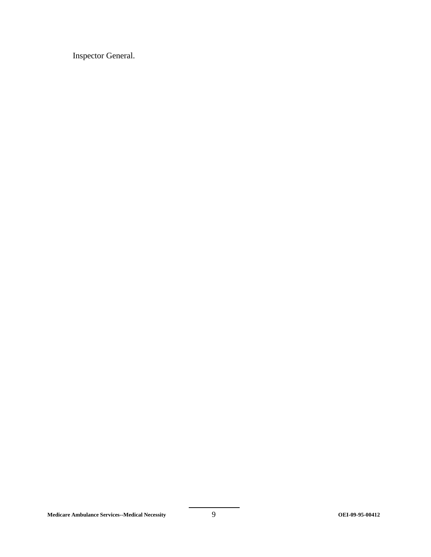Inspector General.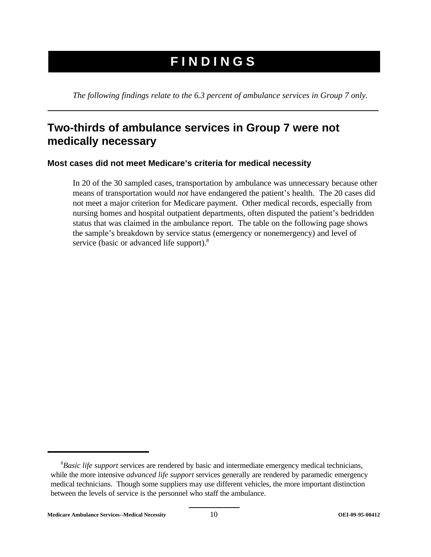## **FINDINGS**

*The following findings relate to the 6.3 percent of ambulance services in Group 7 only.* 

## **Two-thirds of ambulance services in Group 7 were not medically necessary**

## **Most cases did not meet Medicare's criteria for medical necessity**

In 20 of the 30 sampled cases, transportation by ambulance was unnecessary because other means of transportation would *not* have endangered the patient's health. The 20 cases did not meet a major criterion for Medicare payment. Other medical records, especially from nursing homes and hospital outpatient departments, often disputed the patient's bedridden status that was claimed in the ambulance report. The table on the following page shows the sample's breakdown by service status (emergency or nonemergency) and level of service (basic or advanced life support).<sup>8</sup>

<sup>8</sup> *Basic life support* services are rendered by basic and intermediate emergency medical technicians, while the more intensive *advanced life support* services generally are rendered by paramedic emergency medical technicians. Though some suppliers may use different vehicles, the more important distinction between the levels of service is the personnel who staff the ambulance.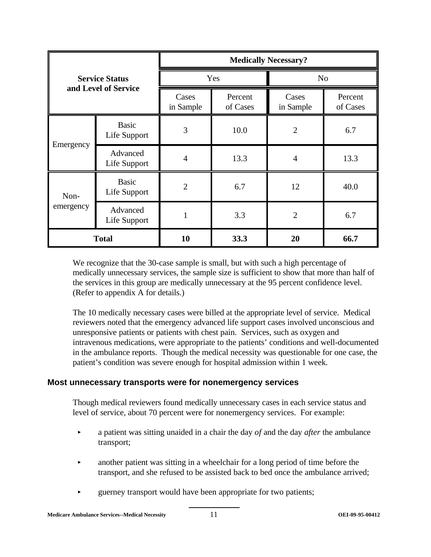|           |                              |                    |                     | <b>Medically Necessary?</b> |                     |
|-----------|------------------------------|--------------------|---------------------|-----------------------------|---------------------|
|           | <b>Service Status</b>        |                    | Yes                 | N <sub>o</sub>              |                     |
|           | and Level of Service         | Cases<br>in Sample | Percent<br>of Cases | Cases<br>in Sample          | Percent<br>of Cases |
|           | <b>Basic</b><br>Life Support | 3                  | 10.0                | $\overline{2}$              | 6.7                 |
| Emergency | Advanced<br>Life Support     | $\overline{4}$     | 13.3                | $\overline{4}$              | 13.3                |
| Non-      | <b>Basic</b><br>Life Support | $\overline{2}$     | 6.7                 | 12                          | 40.0                |
| emergency | Advanced<br>Life Support     |                    | 3.3                 | $\overline{2}$              | 6.7                 |
|           | <b>Total</b>                 | 10                 | 33.3                | 20                          | 66.7                |

We recognize that the 30-case sample is small, but with such a high percentage of medically unnecessary services, the sample size is sufficient to show that more than half of the services in this group are medically unnecessary at the 95 percent confidence level. (Refer to appendix A for details.)

The 10 medically necessary cases were billed at the appropriate level of service. Medical reviewers noted that the emergency advanced life support cases involved unconscious and unresponsive patients or patients with chest pain. Services, such as oxygen and intravenous medications, were appropriate to the patients' conditions and well-documented in the ambulance reports. Though the medical necessity was questionable for one case, the patient's condition was severe enough for hospital admission within 1 week.

### **Most unnecessary transports were for nonemergency services**

Though medical reviewers found medically unnecessary cases in each service status and level of service, about 70 percent were for nonemergency services. For example:

- **Example 3** a patient was sitting unaided in a chair the day *of* and the day *after* the ambulance transport;
- $\blacktriangleright$  another patient was sitting in a wheelchair for a long period of time before the transport, and she refused to be assisted back to bed once the ambulance arrived;
- < guerney transport would have been appropriate for two patients;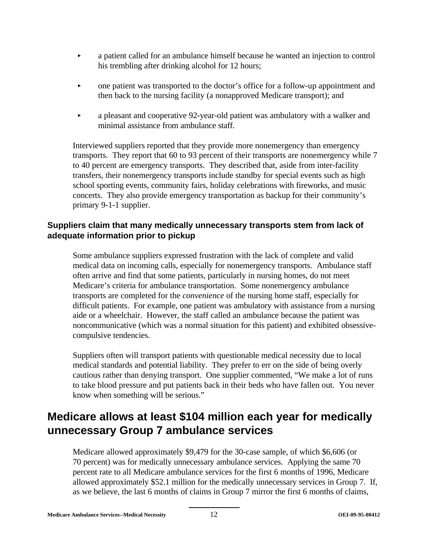- < a patient called for an ambulance himself because he wanted an injection to control his trembling after drinking alcohol for 12 hours;
- **Example 1** cone patient was transported to the doctor's office for a follow-up appointment and then back to the nursing facility (a nonapproved Medicare transport); and
- **Examplement and cooperative 92-year-old patient was ambulatory with a walker and** minimal assistance from ambulance staff.

Interviewed suppliers reported that they provide more nonemergency than emergency transports. They report that 60 to 93 percent of their transports are nonemergency while 7 to 40 percent are emergency transports. They described that, aside from inter-facility transfers, their nonemergency transports include standby for special events such as high school sporting events, community fairs, holiday celebrations with fireworks, and music concerts. They also provide emergency transportation as backup for their community's primary 9-1-1 supplier.

## **Suppliers claim that many medically unnecessary transports stem from lack of adequate information prior to pickup**

Some ambulance suppliers expressed frustration with the lack of complete and valid medical data on incoming calls, especially for nonemergency transports. Ambulance staff often arrive and find that some patients, particularly in nursing homes, do not meet Medicare's criteria for ambulance transportation. Some nonemergency ambulance transports are completed for the *convenience* of the nursing home staff, especially for difficult patients. For example, one patient was ambulatory with assistance from a nursing aide or a wheelchair. However, the staff called an ambulance because the patient was noncommunicative (which was a normal situation for this patient) and exhibited obsessivecompulsive tendencies.

Suppliers often will transport patients with questionable medical necessity due to local medical standards and potential liability. They prefer to err on the side of being overly cautious rather than denying transport. One supplier commented, "We make a lot of runs to take blood pressure and put patients back in their beds who have fallen out. You never know when something will be serious."

## **Medicare allows at least \$104 million each year for medically unnecessary Group 7 ambulance services**

Medicare allowed approximately \$9,479 for the 30-case sample, of which \$6,606 (or 70 percent) was for medically unnecessary ambulance services. Applying the same 70 percent rate to all Medicare ambulance services for the first 6 months of 1996, Medicare allowed approximately \$52.1 million for the medically unnecessary services in Group 7. If, as we believe, the last 6 months of claims in Group 7 mirror the first 6 months of claims,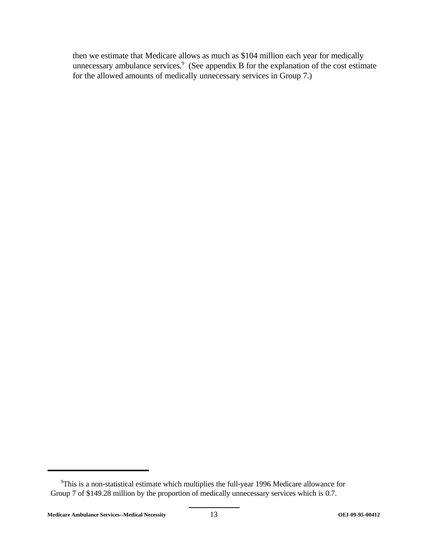then we estimate that Medicare allows as much as \$104 million each year for medically unnecessary ambulance services.<sup>9</sup> (See appendix B for the explanation of the cost estimate for the allowed amounts of medically unnecessary services in Group 7.)

<sup>&</sup>lt;sup>9</sup>This is a non-statistical estimate which multiplies the full-year 1996 Medicare allowance for Group 7 of \$149.28 million by the proportion of medically unnecessary services which is 0.7.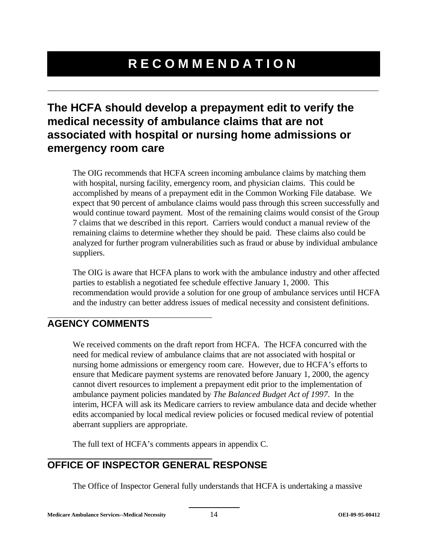## **RECOMMENDATION**

## **The HCFA should develop a prepayment edit to verify the medical necessity of ambulance claims that are not associated with hospital or nursing home admissions or emergency room care**

The OIG recommends that HCFA screen incoming ambulance claims by matching them with hospital, nursing facility, emergency room, and physician claims. This could be accomplished by means of a prepayment edit in the Common Working File database. We expect that 90 percent of ambulance claims would pass through this screen successfully and would continue toward payment. Most of the remaining claims would consist of the Group 7 claims that we described in this report. Carriers would conduct a manual review of the remaining claims to determine whether they should be paid. These claims also could be analyzed for further program vulnerabilities such as fraud or abuse by individual ambulance suppliers.

The OIG is aware that HCFA plans to work with the ambulance industry and other affected parties to establish a negotiated fee schedule effective January 1, 2000. This recommendation would provide a solution for one group of ambulance services until HCFA and the industry can better address issues of medical necessity and consistent definitions.

## **AGENCY COMMENTS**

We received comments on the draft report from HCFA. The HCFA concurred with the need for medical review of ambulance claims that are not associated with hospital or nursing home admissions or emergency room care. However, due to HCFA's efforts to ensure that Medicare payment systems are renovated before January 1, 2000, the agency cannot divert resources to implement a prepayment edit prior to the implementation of ambulance payment policies mandated by *The Balanced Budget Act of 1997*. In the interim, HCFA will ask its Medicare carriers to review ambulance data and decide whether edits accompanied by local medical review policies or focused medical review of potential aberrant suppliers are appropriate.

The full text of HCFA's comments appears in appendix C.

## **OFFICE OF INSPECTOR GENERAL RESPONSE**

The Office of Inspector General fully understands that HCFA is undertaking a massive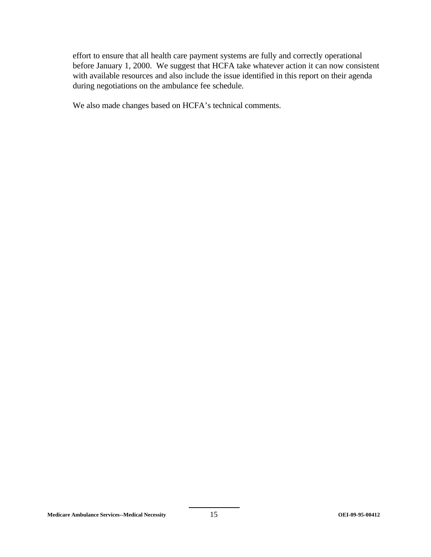effort to ensure that all health care payment systems are fully and correctly operational before January 1, 2000. We suggest that HCFA take whatever action it can now consistent with available resources and also include the issue identified in this report on their agenda during negotiations on the ambulance fee schedule.

We also made changes based on HCFA's technical comments.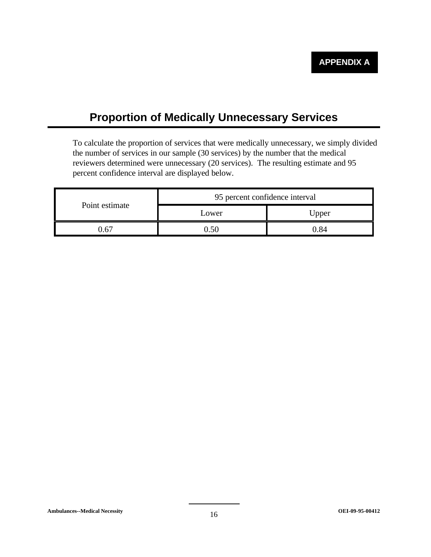## **Proportion of Medically Unnecessary Services**

To calculate the proportion of services that were medically unnecessary, we simply divided the number of services in our sample (30 services) by the number that the medical reviewers determined were unnecessary (20 services). The resulting estimate and 95 percent confidence interval are displayed below.

| Point estimate | 95 percent confidence interval |       |  |
|----------------|--------------------------------|-------|--|
|                | Lower                          | Upper |  |
| 56″            |                                | ) 84  |  |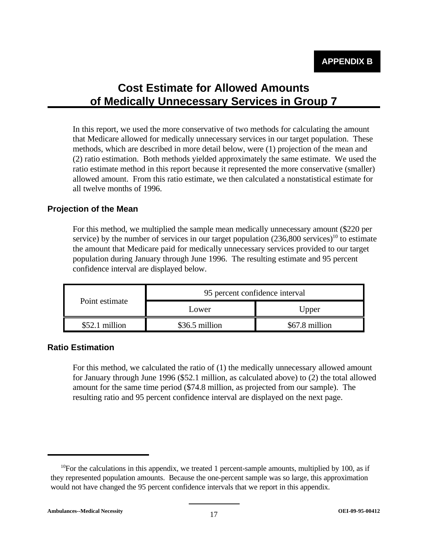## **Cost Estimate for Allowed Amounts of Medically Unnecessary Services in Group 7**

In this report, we used the more conservative of two methods for calculating the amount that Medicare allowed for medically unnecessary services in our target population. These methods, which are described in more detail below, were (1) projection of the mean and (2) ratio estimation. Both methods yielded approximately the same estimate. We used the ratio estimate method in this report because it represented the more conservative (smaller) allowed amount. From this ratio estimate, we then calculated a nonstatistical estimate for all twelve months of 1996.

## **Projection of the Mean**

For this method, we multiplied the sample mean medically unnecessary amount (\$220 per service) by the number of services in our target population  $(236,800 \text{ services})^{10}$  to estimate the amount that Medicare paid for medically unnecessary services provided to our target population during January through June 1996. The resulting estimate and 95 percent confidence interval are displayed below.

|                 | 95 percent confidence interval |                |  |
|-----------------|--------------------------------|----------------|--|
| Point estimate  | Lower                          | Upper          |  |
| $$52.1$ million | \$36.5 million                 | \$67.8 million |  |

### **Ratio Estimation**

For this method, we calculated the ratio of (1) the medically unnecessary allowed amount for January through June 1996 (\$52.1 million, as calculated above) to (2) the total allowed amount for the same time period (\$74.8 million, as projected from our sample). The resulting ratio and 95 percent confidence interval are displayed on the next page.

 $10$ For the calculations in this appendix, we treated 1 percent-sample amounts, multiplied by 100, as if they represented population amounts. Because the one-percent sample was so large, this approximation would not have changed the 95 percent confidence intervals that we report in this appendix.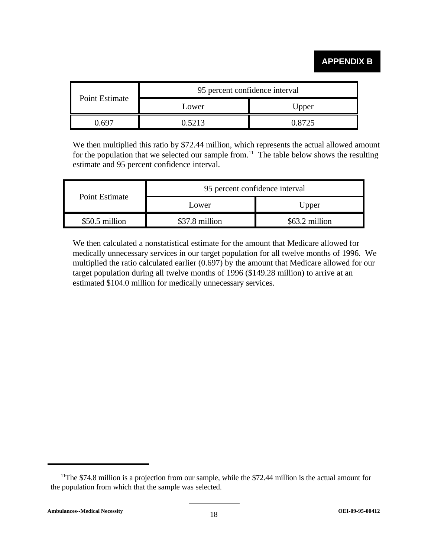## **APPENDIX B**

|                | 95 percent confidence interval |        |
|----------------|--------------------------------|--------|
| Point Estimate | Lower                          | Upper  |
| . 691          | በ  ናን13                        | በ ጸ725 |

We then multiplied this ratio by \$72.44 million, which represents the actual allowed amount for the population that we selected our sample from.<sup>11</sup> The table below shows the resulting estimate and 95 percent confidence interval.

|                | 95 percent confidence interval |                |
|----------------|--------------------------------|----------------|
| Point Estimate | Lower                          | Upper          |
| \$50.5 million | \$37.8 million                 | \$63.2 million |

We then calculated a nonstatistical estimate for the amount that Medicare allowed for medically unnecessary services in our target population for all twelve months of 1996. We multiplied the ratio calculated earlier (0.697) by the amount that Medicare allowed for our target population during all twelve months of 1996 (\$149.28 million) to arrive at an estimated \$104.0 million for medically unnecessary services.

<sup>&</sup>lt;sup>11</sup>The \$74.8 million is a projection from our sample, while the \$72.44 million is the actual amount for the population from which that the sample was selected.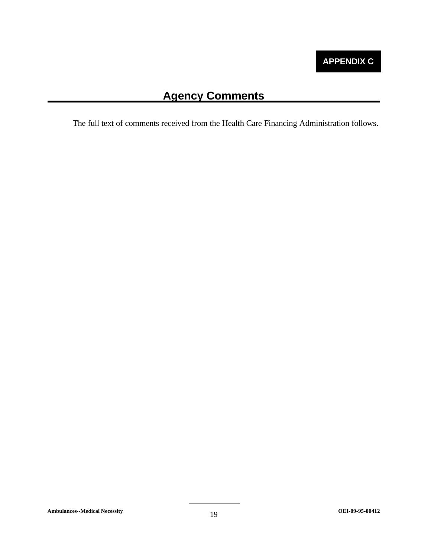## **Agency Comments**

The full text of comments received from the Health Care Financing Administration follows.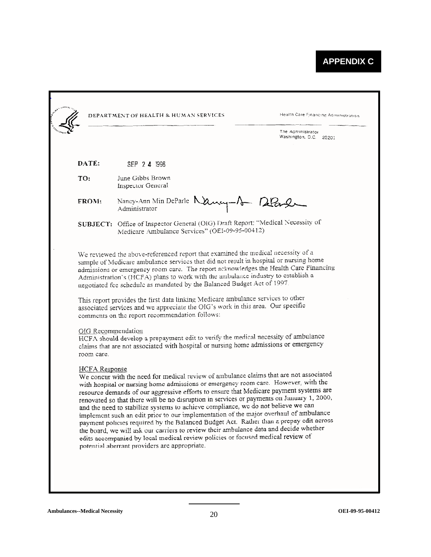|                                  | DEPARTMENT OF HEALTH & HUMAN SERVICES                                                                                                                                                                                                                                                                                                                                                                                                                                                                                                                                                                                                                                                                                                                                                                                   | Health Care Financing Administration        |
|----------------------------------|-------------------------------------------------------------------------------------------------------------------------------------------------------------------------------------------------------------------------------------------------------------------------------------------------------------------------------------------------------------------------------------------------------------------------------------------------------------------------------------------------------------------------------------------------------------------------------------------------------------------------------------------------------------------------------------------------------------------------------------------------------------------------------------------------------------------------|---------------------------------------------|
|                                  |                                                                                                                                                                                                                                                                                                                                                                                                                                                                                                                                                                                                                                                                                                                                                                                                                         | The Administrator<br>Washington, D.C. 20201 |
|                                  |                                                                                                                                                                                                                                                                                                                                                                                                                                                                                                                                                                                                                                                                                                                                                                                                                         |                                             |
| DATE:                            | SEP 2 4 1998                                                                                                                                                                                                                                                                                                                                                                                                                                                                                                                                                                                                                                                                                                                                                                                                            |                                             |
| TO:                              | June Gibbs Brown<br><b>Inspector General</b>                                                                                                                                                                                                                                                                                                                                                                                                                                                                                                                                                                                                                                                                                                                                                                            |                                             |
| FROM:                            | Nancy-Ann Min DeParle Mancy-1 12Paul<br>Administrator                                                                                                                                                                                                                                                                                                                                                                                                                                                                                                                                                                                                                                                                                                                                                                   |                                             |
|                                  | SUBJECT: Office of Inspector General (OIG) Draft Report: "Medical Necessity of<br>Medicare Ambulance Services" (OEI-09-95-00412)                                                                                                                                                                                                                                                                                                                                                                                                                                                                                                                                                                                                                                                                                        |                                             |
|                                  | We reviewed the above-referenced report that examined the medical necessity of a<br>sample of Medicare ambulance services that did not result in hospital or nursing home<br>admissions or emergency room care. The report acknowledges the Health Care Financing<br>Administration's (HCFA) plans to work with the ambulance industry to establish a<br>negotiated fee schedule as mandated by the Balanced Budget Act of 1997.<br>This report provides the first data linking Medicare ambulance services to other<br>associated services and we appreciate the OIG's work in this area. Our specific<br>comments on the report recommendation follows:                                                                                                                                                               |                                             |
| OIG Recommendation<br>room care. | HCFA should develop a prepayment edit to verify the medical necessity of ambulance<br>claims that are not associated with hospital or nursing home admissions or emergency                                                                                                                                                                                                                                                                                                                                                                                                                                                                                                                                                                                                                                              |                                             |
| <b>HCFA</b> Response             | We concur with the need for medical review of ambulance claims that are not associated<br>with hospital or nursing home admissions or emergency room care. However, with the<br>resource demands of our aggressive efforts to ensure that Medicare payment systems are<br>renovated so that there will be no disruption in services or payments on January 1, 2000,<br>and the need to stabilize systems to achieve compliance, we do not believe we can<br>implement such an edit prior to our implementation of the major overhaul of ambulance<br>payment policies required by the Balanced Budget Act. Rather than a prepay edit across<br>the board, we will ask our carriers to review their ambulance data and decide whether<br>edits accompanied by local medical review policies or focused medical review of |                                             |